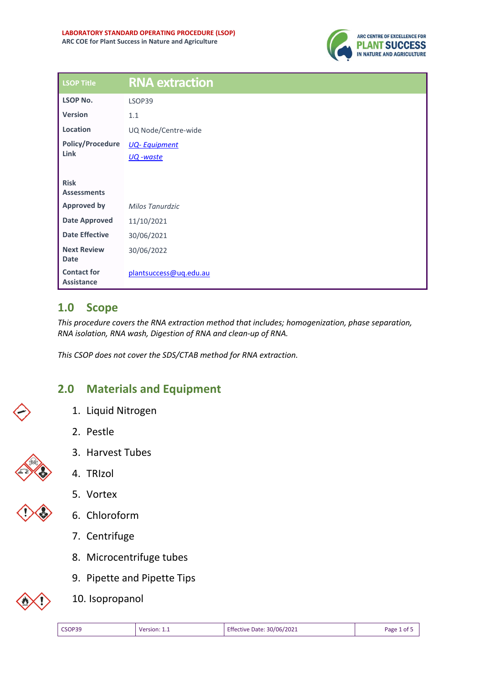

| <b>LSOP Title</b>                       | <b>RNA extraction</b>  |
|-----------------------------------------|------------------------|
| <b>LSOP No.</b>                         | LSOP39                 |
| <b>Version</b>                          | 1.1                    |
| Location                                | UQ Node/Centre-wide    |
| <b>Policy/Procedure</b>                 | <b>UQ-Equipment</b>    |
| Link                                    | <u>UQ</u> -waste       |
| <b>Risk</b><br><b>Assessments</b>       |                        |
| <b>Approved by</b>                      | Milos Tanurdzic        |
| <b>Date Approved</b>                    | 11/10/2021             |
| <b>Date Effective</b>                   | 30/06/2021             |
| <b>Next Review</b><br><b>Date</b>       | 30/06/2022             |
| <b>Contact for</b><br><b>Assistance</b> | plantsuccess@uq.edu.au |

# **1.0 Scope**

*This procedure covers the RNA extraction method that includes; homogenization, phase separation, RNA isolation, RNA wash, Digestion of RNA and clean-up of RNA.*

*This CSOP does not cover the SDS/CTAB method for RNA extraction.* 

# **2.0 Materials and Equipment**

- 1. Liquid Nitrogen
- 2. Pestle

4. TRIzol



3. Harvest Tubes





- 6. Chloroform
- 7. Centrifuge
- 8. Microcentrifuge tubes
- 9. Pipette and Pipette Tips
- 10. Isopropanol

| CSOP39 |
|--------|
|--------|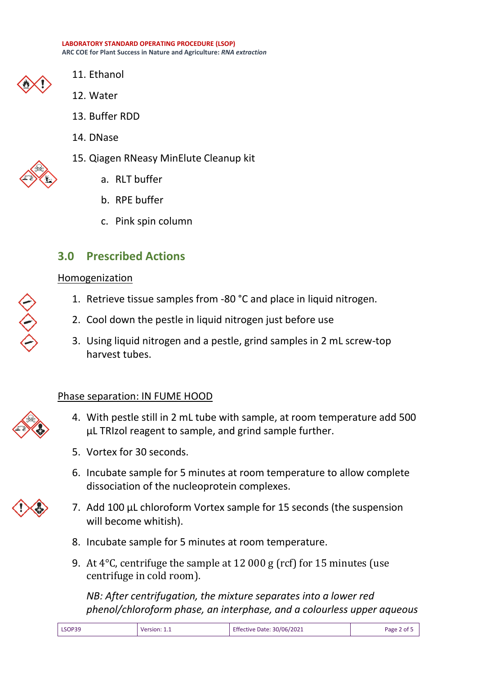**LABORATORY STANDARD OPERATING PROCEDURE (LSOP) ARC COE for Plant Success in Nature and Agriculture:** *RNA extraction*



- 11. Ethanol
- 12. Water
- 13. Buffer RDD
- 14. DNase
- 15. Qiagen RNeasy MinElute Cleanup kit
	- a. RLT buffer
	- b. RPE buffer
	- c. Pink spin column

# **3.0 Prescribed Actions**

### Homogenization

- 1. Retrieve tissue samples from -80 °C and place in liquid nitrogen.
- 2. Cool down the pestle in liquid nitrogen just before use
- 3. Using liquid nitrogen and a pestle, grind samples in 2 mL screw-top harvest tubes.

# Phase separation: IN FUME HOOD



- 4. With pestle still in 2 mL tube with sample, at room temperature add 500 µL TRIzol reagent to sample, and grind sample further.
- 5. Vortex for 30 seconds.
- 6. Incubate sample for 5 minutes at room temperature to allow complete dissociation of the nucleoprotein complexes.
- 7. Add 100 µL chloroform Vortex sample for 15 seconds (the suspension will become whitish).
- 8. Incubate sample for 5 minutes at room temperature.
- 9. At 4°C, centrifuge the sample at 12 000 g (rcf) for 15 minutes (use centrifuge in cold room).

*NB: After centrifugation, the mixture separates into a lower red phenol/chloroform phase, an interphase, and a colourless upper aqueous*

| LSOP39 | Version: $1_{\cdot}$ | Effective Date: 30/06/2021 | Page 2 of |
|--------|----------------------|----------------------------|-----------|
|        |                      |                            |           |

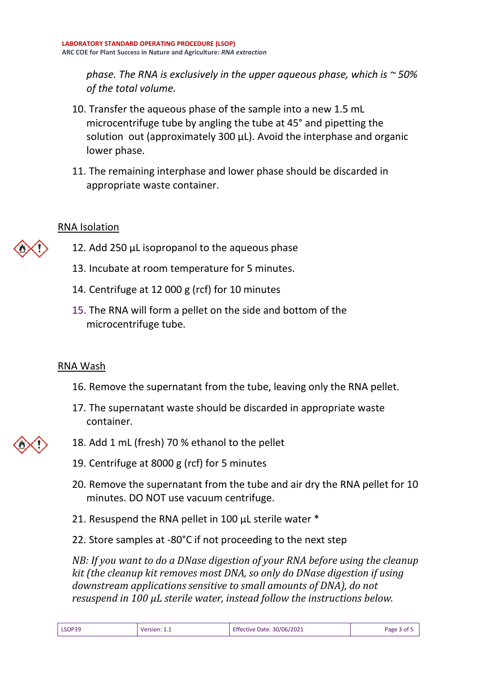*phase. The RNA is exclusively in the upper aqueous phase, which is ~ 50% of the total volume.*

- 10. Transfer the aqueous phase of the sample into a new 1.5 mL microcentrifuge tube by angling the tube at 45° and pipetting the solution out (approximately 300 µL). Avoid the interphase and organic lower phase.
- 11. The remaining interphase and lower phase should be discarded in appropriate waste container.

#### RNA Isolation

- 12. Add 250 µL isopropanol to the aqueous phase
	- 13. Incubate at room temperature for 5 minutes.
	- 14. Centrifuge at 12 000 g (rcf) for 10 minutes
	- 15. The RNA will form a pellet on the side and bottom of the microcentrifuge tube.

### RNA Wash

- 16. Remove the supernatant from the tube, leaving only the RNA pellet.
- 17. The supernatant waste should be discarded in appropriate waste container.
- 18. Add 1 mL (fresh) 70 % ethanol to the pellet
- 19. Centrifuge at 8000 g (rcf) for 5 minutes
- 20. Remove the supernatant from the tube and air dry the RNA pellet for 10 minutes. DO NOT use vacuum centrifuge.
- 21. Resuspend the RNA pellet in 100 µL sterile water \*
- 22. Store samples at -80°C if not proceeding to the next step

*NB: If you want to do a DNase digestion of your RNA before using the cleanup kit (the cleanup kit removes most DNA, so only do DNase digestion if using downstream applications sensitive to small amounts of DNA), do not resuspend in 100 µL sterile water, instead follow the instructions below.*

|  | LSOP39 | Version: 1.1 | Effective Date: 30/06/2021 | Page 3 of 5 |
|--|--------|--------------|----------------------------|-------------|
|--|--------|--------------|----------------------------|-------------|

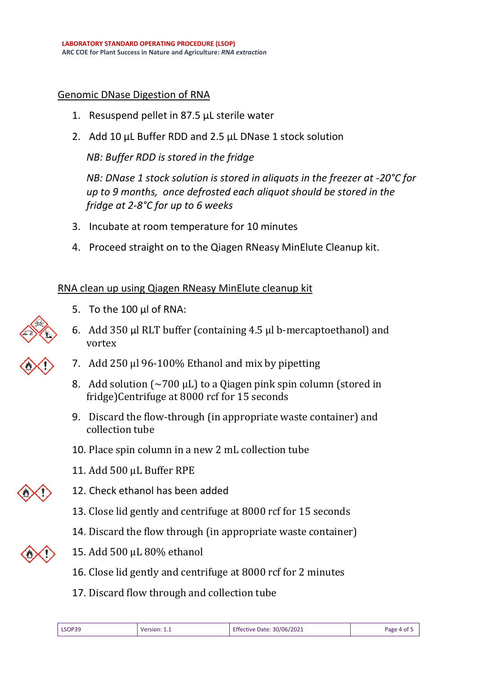#### Genomic DNase Digestion of RNA

- 1. Resuspend pellet in 87.5 µL sterile water
- 2. Add 10 µL Buffer RDD and 2.5 µL DNase 1 stock solution

*NB: Buffer RDD is stored in the fridge*

*NB: DNase 1 stock solution is stored in aliquots in the freezer at -20°C for up to 9 months, once defrosted each aliquot should be stored in the fridge at 2-8°C for up to 6 weeks*

- 3. Incubate at room temperature for 10 minutes
- 4. Proceed straight on to the Qiagen RNeasy MinElute Cleanup kit.

#### RNA clean up using Qiagen RNeasy MinElute cleanup kit



- 5. To the 100 µl of RNA:
- 6. Add 350 µl RLT buffer (containing 4.5 µl b-mercaptoethanol) and vortex
- 7. Add 250 µl 96-100% Ethanol and mix by pipetting
- 8. Add solution  $\sim$  700 µL) to a Qiagen pink spin column (stored in fridge)Centrifuge at 8000 rcf for 15 seconds
- 9. Discard the flow-through (in appropriate waste container) and collection tube
- 10. Place spin column in a new 2 mL collection tube
- 11. Add 500 uL Buffer RPE



- 13. Close lid gently and centrifuge at 8000 rcf for 15 seconds
- 14. Discard the flow through (in appropriate waste container)



- 15. Add 500 µL 80% ethanol
- 16. Close lid gently and centrifuge at 8000 rcf for 2 minutes
- 17. Discard flow through and collection tube

| Effective Date:<br>Page 4 of F<br>Version: | LSOP39 |  | : 30/06/2021 |  |
|--------------------------------------------|--------|--|--------------|--|
|--------------------------------------------|--------|--|--------------|--|